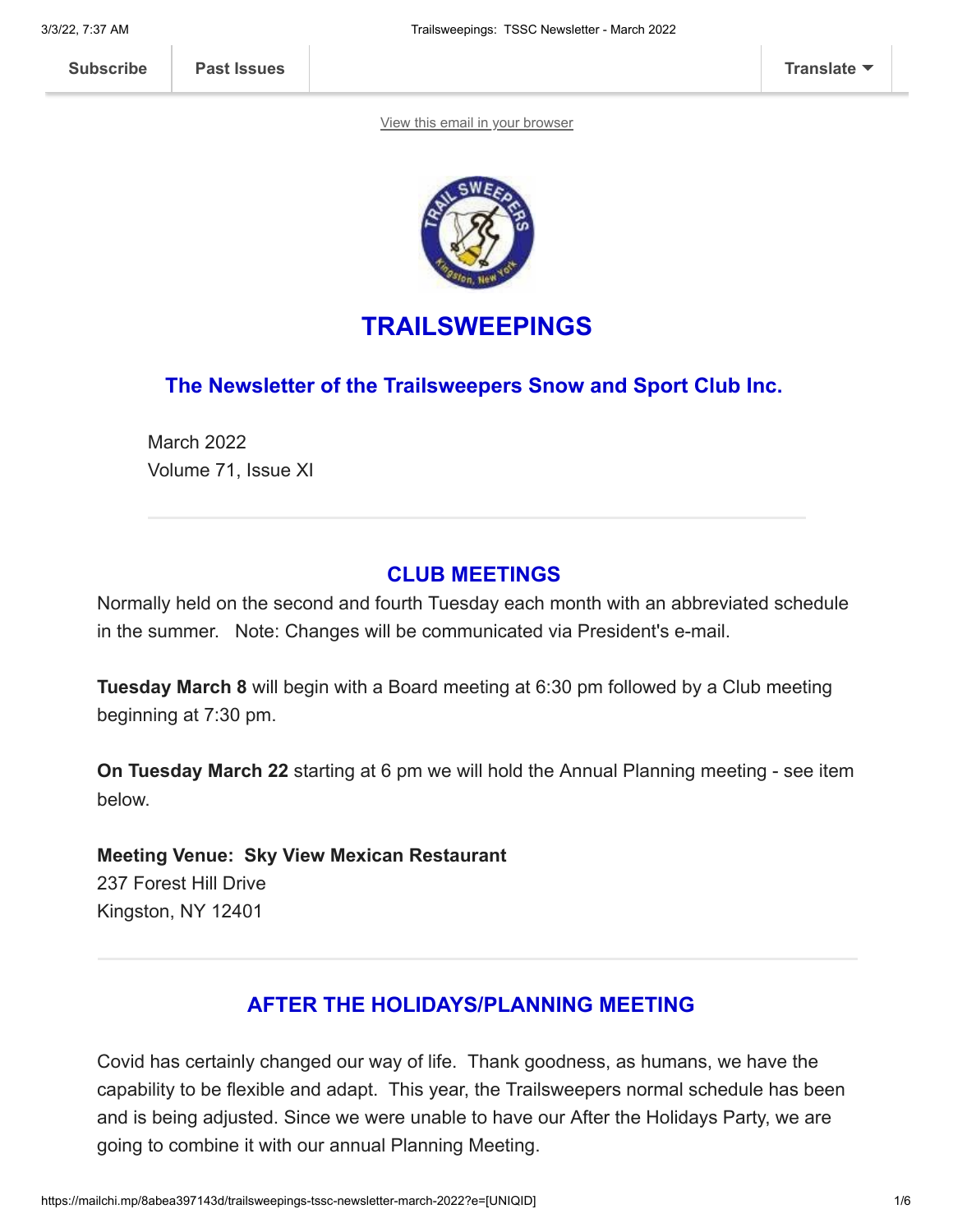[View this email in your browser](https://mailchi.mp/8abea397143d/trailsweepings-tssc-newsletter-march-2022?e=[UNIQID])



# **TRAILSWEEPINGS**

## **The Newsletter of the Trailsweepers Snow and Sport Club Inc.**

March 2022 Volume 71, Issue XI

## **CLUB MEETINGS**

Normally held on the second and fourth Tuesday each month with an abbreviated schedule in the summer. Note: Changes will be communicated via President's e-mail.

**Tuesday March 8** will begin with a Board meeting at 6:30 pm followed by a Club meeting beginning at 7:30 pm.

**On Tuesday March 22** starting at 6 pm we will hold the Annual Planning meeting - see item below.

**Meeting Venue: Sky View Mexican Restaurant** 237 Forest Hill Drive Kingston, NY 12401

# **AFTER THE HOLIDAYS/PLANNING MEETING**

Covid has certainly changed our way of life. Thank goodness, as humans, we have the capability to be flexible and adapt. This year, the Trailsweepers normal schedule has been and is being adjusted. Since we were unable to have our After the Holidays Party, we are going to combine it with our annual Planning Meeting.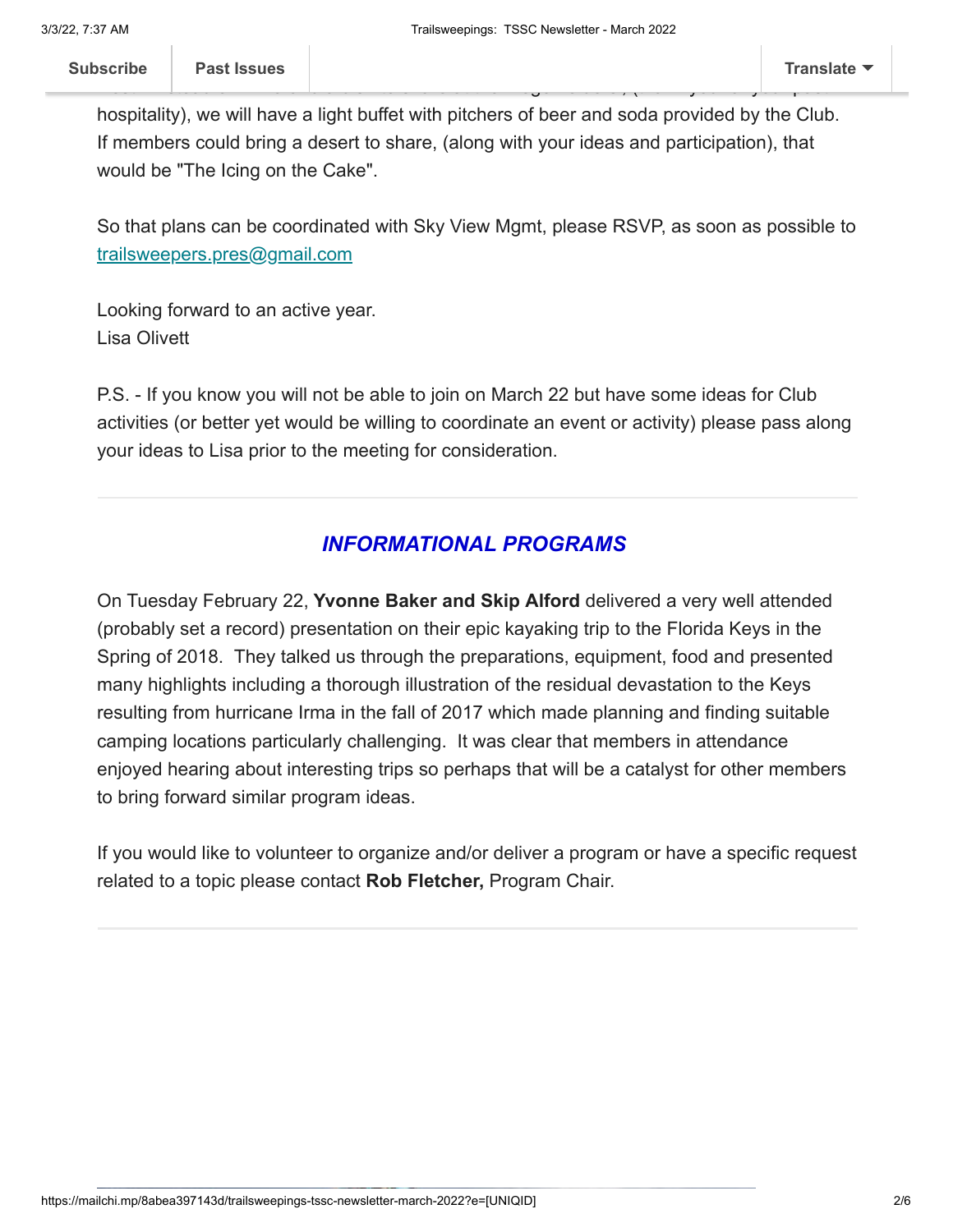hospitality), we will have a light buffet with pitchers of beer and soda provided by the Club. If members could bring a desert to share, (along with your ideas and participation), that would be "The Icing on the Cake".

So that plans can be coordinated with Sky View Mgmt, please RSVP, as soon as possible to [t](mailto:president@trailsweepers.org)[railsweepers.pres@gmail.com](mailto:railsweepers.pres@gmail.com)

Looking forward to an active year. Lisa Olivett

P.S. - If you know you will not be able to join on March 22 but have some ideas for Club activities (or better yet would be willing to coordinate an event or activity) please pass along your ideas to Lisa prior to the meeting for consideration.

# *INFORMATIONAL PROGRAMS*

On Tuesday February 22, **Yvonne Baker and Skip Alford** delivered a very well attended (probably set a record) presentation on their epic kayaking trip to the Florida Keys in the Spring of 2018. They talked us through the preparations, equipment, food and presented many highlights including a thorough illustration of the residual devastation to the Keys resulting from hurricane Irma in the fall of 2017 which made planning and finding suitable camping locations particularly challenging. It was clear that members in attendance enjoyed hearing about interesting trips so perhaps that will be a catalyst for other members to bring forward similar program ideas.

If you would like to volunteer to organize and/or deliver a program or have a specific request related to a topic please contact **Rob Fletcher,** Program Chair.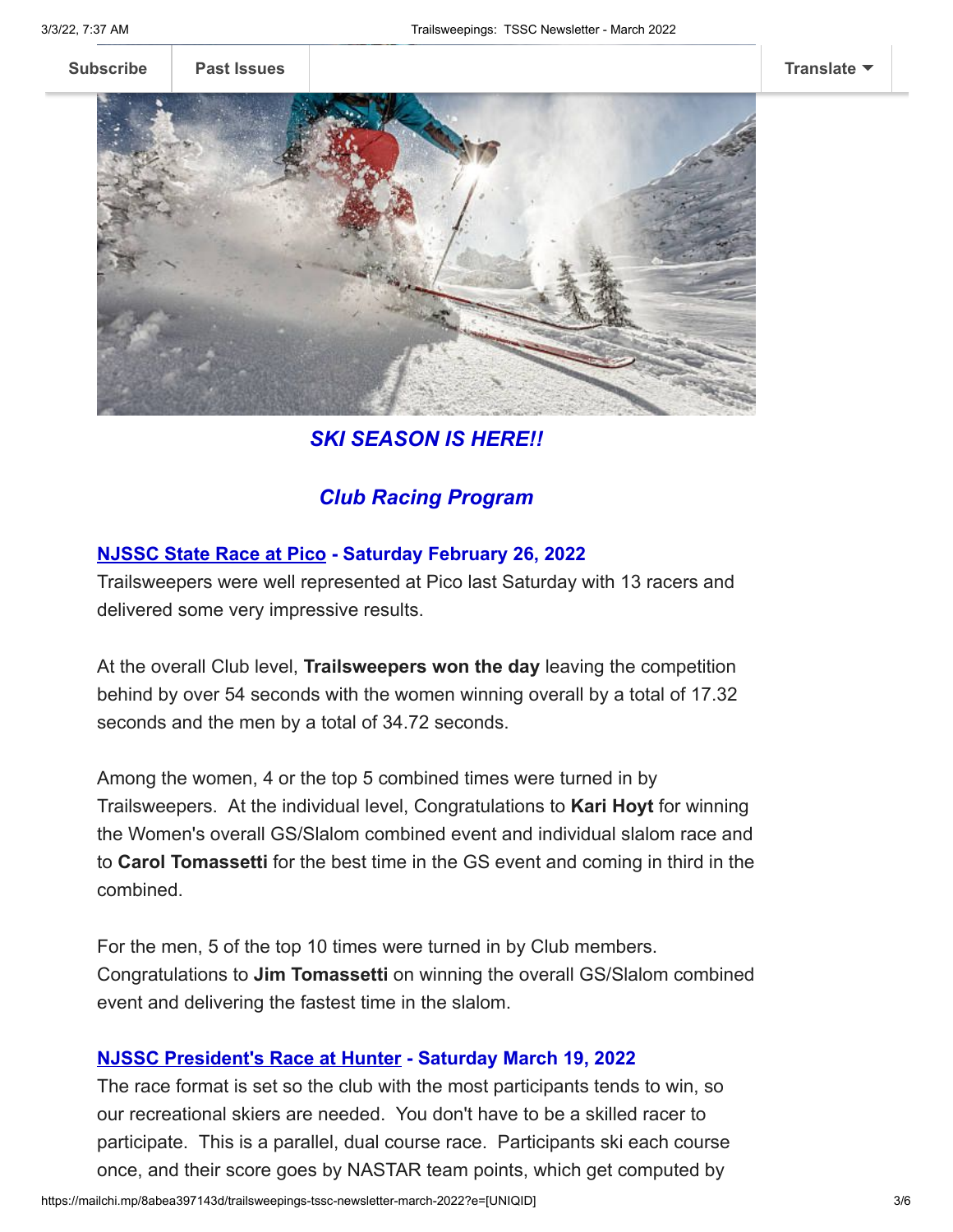**[Subscribe](http://eepurl.com/hCJCor) [Past Issues](https://us17.campaign-archive.com/home/?u=12dc0f31cf0de42e0801b3e21&id=3b633232f1) [Translate](javascript:;)**



*SKI SEASON IS HERE!!*

## *Club Racing Program*

### **NJSSC State Race at Pico - Saturday February 26, 2022**

Trailsweepers were well represented at Pico last Saturday with 13 racers and delivered some very impressive results.

At the overall Club level, **Trailsweepers won the day** leaving the competition behind by over 54 seconds with the women winning overall by a total of 17.32 seconds and the men by a total of 34.72 seconds.

Among the women, 4 or the top 5 combined times were turned in by Trailsweepers. At the individual level, Congratulations to **Kari Hoyt** for winning the Women's overall GS/Slalom combined event and individual slalom race and to **Carol Tomassetti** for the best time in the GS event and coming in third in the combined.

For the men, 5 of the top 10 times were turned in by Club members. Congratulations to **Jim Tomassetti** on winning the overall GS/Slalom combined event and delivering the fastest time in the slalom.

#### **NJSSC President's Race at Hunter - Saturday March 19, 2022**

The race format is set so the club with the most participants tends to win, so our recreational skiers are needed. You don't have to be a skilled racer to participate. This is a parallel, dual course race. Participants ski each course once, and their score goes by NASTAR team points, which get computed by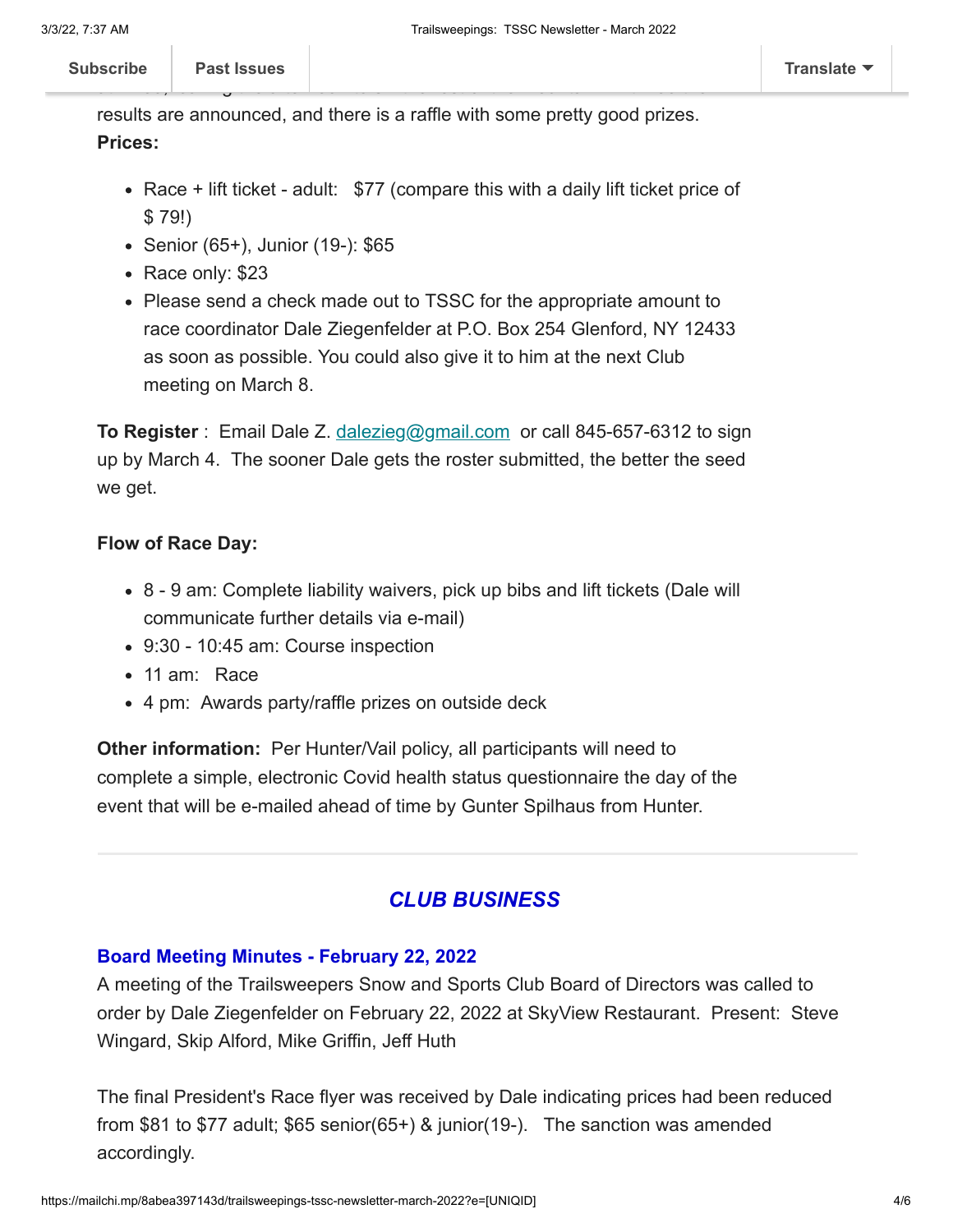results are announced, and there is a raffle with some pretty good prizes.

#### **Prices:**

- Race  $+$  lift ticket adult:  $$77$  (compare this with a daily lift ticket price of \$ 79!)
- Senior (65+), Junior (19-): \$65
- Race only: \$23
- Please send a check made out to TSSC for the appropriate amount to race coordinator Dale Ziegenfelder at P.O. Box 254 Glenford, NY 12433 as soon as possible. You could also give it to him at the next Club meeting on March 8.

**To Register** : Email Dale Z. [dalezieg@gmail.com](mailto:dalezieg@gmail.com) or call 845-657-6312 to sign up by March 4. The sooner Dale gets the roster submitted, the better the seed we get.

### **Flow of Race Day:**

- 8 9 am: Complete liability waivers, pick up bibs and lift tickets (Dale will communicate further details via e-mail)
- 9:30 10:45 am: Course inspection
- 11 am: Race
- 4 pm: Awards party/raffle prizes on outside deck

**Other information:** Per Hunter/Vail policy, all participants will need to complete a simple, electronic Covid health status questionnaire the day of the event that will be e-mailed ahead of time by Gunter Spilhaus from Hunter.

### *CLUB BUSINESS*

### **Board Meeting Minutes - February 22, 2022**

A meeting of the Trailsweepers Snow and Sports Club Board of Directors was called to order by Dale Ziegenfelder on February 22, 2022 at SkyView Restaurant. Present: Steve Wingard, Skip Alford, Mike Griffin, Jeff Huth

The final President's Race flyer was received by Dale indicating prices had been reduced from \$81 to \$77 adult; \$65 senior(65+) & junior(19-). The sanction was amended accordingly.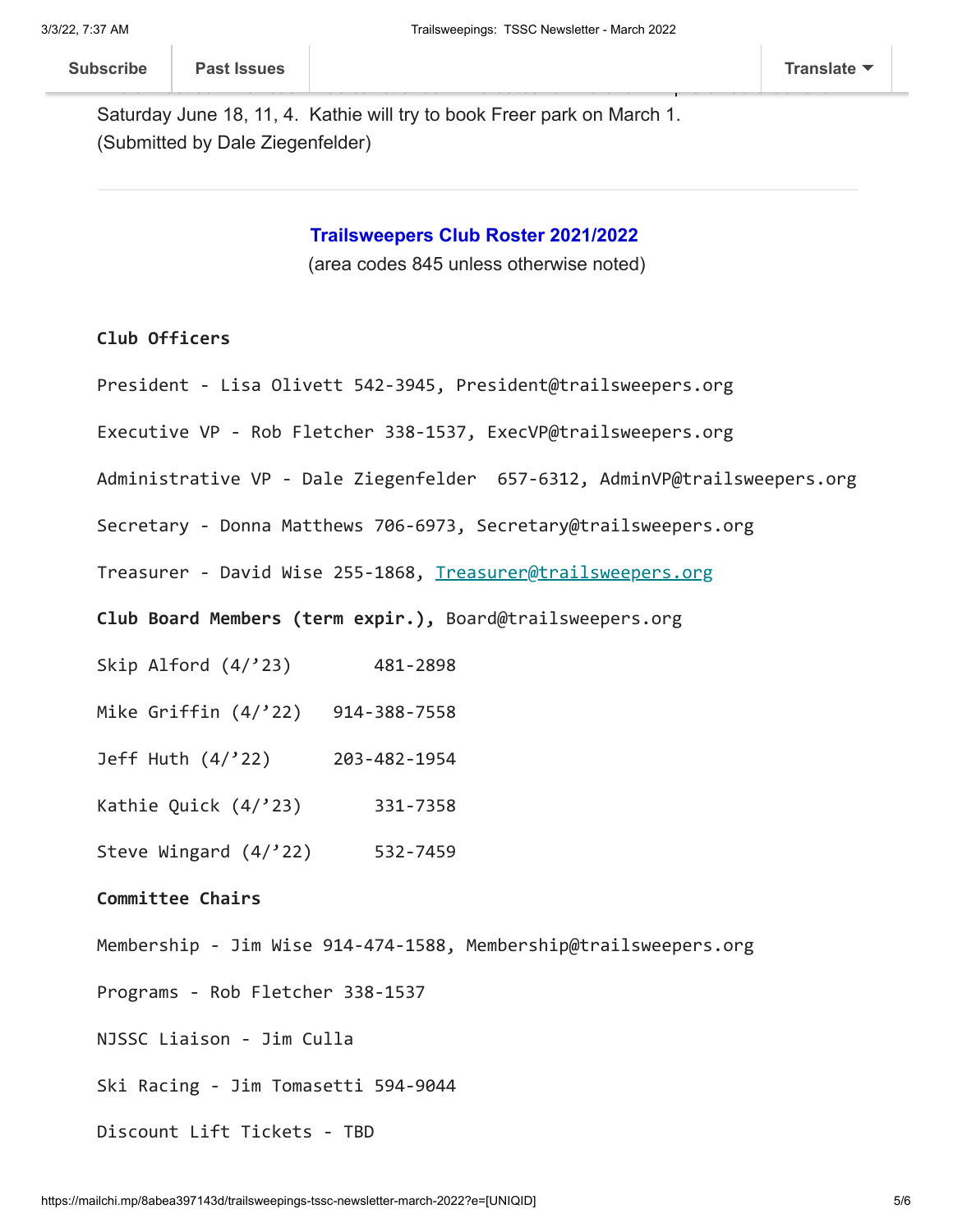Saturday June 18, 11, 4. Kathie will try to book Freer park on March 1. (Submitted by Dale Ziegenfelder)

**Trailsweepers Club Roster 2021/2022**

(area codes 845 unless otherwise noted)

#### **Club Officers**

- President Lisa Olivett 542-3945, President@trailsweepers.org
- Executive VP Rob Fletcher 338-1537, ExecVP@trailsweepers.org
- Administrative VP Dale Ziegenfelder 657-6312, AdminVP@trailsweepers.org
- Secretary Donna Matthews 706-6973, Secretary@trailsweepers.org
- Treasurer David Wise 255-1868, [Treasurer@trailsweepers.org](mailto:Treasurer@trailsweepers.org)
- **Club Board Members (term expir.),** Board@trailsweepers.org
- Skip Alford (4/'23) 481-2898
- Mike Griffin (4/'22) 914-388-7558
- Jeff Huth (4/'22) 203-482-1954
- Kathie Quick (4/'23) 331-7358
- Steve Wingard (4/'22) 532-7459

#### **Committee Chairs**

- Membership Jim Wise 914-474-1588, Membership@trailsweepers.org
- Programs Rob Fletcher 338-1537
- NJSSC Liaison Jim Culla
- Ski Racing Jim Tomasetti 594-9044
- Discount Lift Tickets TBD